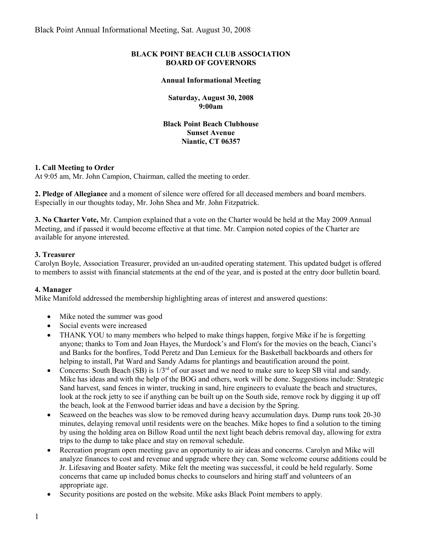### **BLACK POINT BEACH CLUB ASSOCIATION BOARD OF GOVERNORS**

#### **Annual Informational Meeting**

**Saturday, August 30, 2008 9:00am**

**Black Point Beach Clubhouse Sunset Avenue Niantic, CT 06357**

#### **1. Call Meeting to Order**

At 9:05 am, Mr. John Campion, Chairman, called the meeting to order.

**2. Pledge of Allegiance** and a moment of silence were offered for all deceased members and board members. Especially in our thoughts today, Mr. John Shea and Mr. John Fitzpatrick.

**3. No Charter Vote,** Mr. Campion explained that a vote on the Charter would be held at the May 2009 Annual Meeting, and if passed it would become effective at that time. Mr. Campion noted copies of the Charter are available for anyone interested.

### **3. Treasurer**

Carolyn Boyle, Association Treasurer, provided an un-audited operating statement. This updated budget is offered to members to assist with financial statements at the end of the year, and is posted at the entry door bulletin board.

#### **4. Manager**

Mike Manifold addressed the membership highlighting areas of interest and answered questions:

- Mike noted the summer was good
- Social events were increased
- THANK YOU to many members who helped to make things happen, forgive Mike if he is forgetting anyone; thanks to Tom and Joan Hayes, the Murdock's and Flom's for the movies on the beach, Cianci's and Banks for the bonfires, Todd Peretz and Dan Lemieux for the Basketball backboards and others for helping to install, Pat Ward and Sandy Adams for plantings and beautification around the point.
- Concerns: South Beach (SB) is  $1/3<sup>rd</sup>$  of our asset and we need to make sure to keep SB vital and sandy. Mike has ideas and with the help of the BOG and others, work will be done. Suggestions include: Strategic Sand harvest, sand fences in winter, trucking in sand, hire engineers to evaluate the beach and structures, look at the rock jetty to see if anything can be built up on the South side, remove rock by digging it up off the beach, look at the Fenwood barrier ideas and have a decision by the Spring.
- Seaweed on the beaches was slow to be removed during heavy accumulation days. Dump runs took 20-30 minutes, delaying removal until residents were on the beaches. Mike hopes to find a solution to the timing by using the holding area on Billow Road until the next light beach debris removal day, allowing for extra trips to the dump to take place and stay on removal schedule.
- Recreation program open meeting gave an opportunity to air ideas and concerns. Carolyn and Mike will analyze finances to cost and revenue and upgrade where they can. Some welcome course additions could be Jr. Lifesaving and Boater safety. Mike felt the meeting was successful, it could be held regularly. Some concerns that came up included bonus checks to counselors and hiring staff and volunteers of an appropriate age.
- Security positions are posted on the website. Mike asks Black Point members to apply.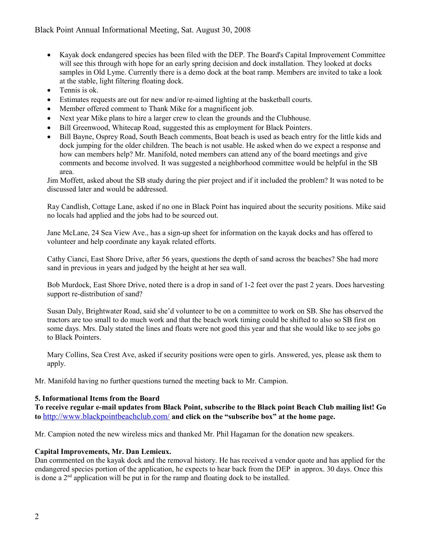- Kayak dock endangered species has been filed with the DEP. The Board's Capital Improvement Committee will see this through with hope for an early spring decision and dock installation. They looked at docks samples in Old Lyme. Currently there is a demo dock at the boat ramp. Members are invited to take a look at the stable, light filtering floating dock.
- Tennis is ok.
- Estimates requests are out for new and/or re-aimed lighting at the basketball courts.
- Member offered comment to Thank Mike for a magnificent job.
- Next year Mike plans to hire a larger crew to clean the grounds and the Clubhouse.
- Bill Greenwood, Whitecap Road, suggested this as employment for Black Pointers.
- Bill Bayne, Osprey Road, South Beach comments, Boat beach is used as beach entry for the little kids and dock jumping for the older children. The beach is not usable. He asked when do we expect a response and how can members help? Mr. Manifold, noted members can attend any of the board meetings and give comments and become involved. It was suggested a neighborhood committee would be helpful in the SB area.

Jim Moffett, asked about the SB study during the pier project and if it included the problem? It was noted to be discussed later and would be addressed.

Ray Candlish, Cottage Lane, asked if no one in Black Point has inquired about the security positions. Mike said no locals had applied and the jobs had to be sourced out.

Jane McLane, 24 Sea View Ave., has a sign-up sheet for information on the kayak docks and has offered to volunteer and help coordinate any kayak related efforts.

Cathy Cianci, East Shore Drive, after 56 years, questions the depth of sand across the beaches? She had more sand in previous in years and judged by the height at her sea wall.

Bob Murdock, East Shore Drive, noted there is a drop in sand of 1-2 feet over the past 2 years. Does harvesting support re-distribution of sand?

Susan Daly, Brightwater Road, said she'd volunteer to be on a committee to work on SB. She has observed the tractors are too small to do much work and that the beach work timing could be shifted to also so SB first on some days. Mrs. Daly stated the lines and floats were not good this year and that she would like to see jobs go to Black Pointers.

Mary Collins, Sea Crest Ave, asked if security positions were open to girls. Answered, yes, please ask them to apply.

Mr. Manifold having no further questions turned the meeting back to Mr. Campion.

## **5. Informational Items from the Board**

**To receive regular e-mail updates from Black Point, subscribe to the Black point Beach Club mailing list! Go to** <http://www.blackpointbeachclub.com/> **and click on the "subscribe box" at the home page.**

Mr. Campion noted the new wireless mics and thanked Mr. Phil Hagaman for the donation new speakers.

## **Capital Improvements, Mr. Dan Lemieux.**

Dan commented on the kayak dock and the removal history. He has received a vendor quote and has applied for the endangered species portion of the application, he expects to hear back from the DEP in approx. 30 days. Once this is done a  $2<sup>nd</sup>$  application will be put in for the ramp and floating dock to be installed.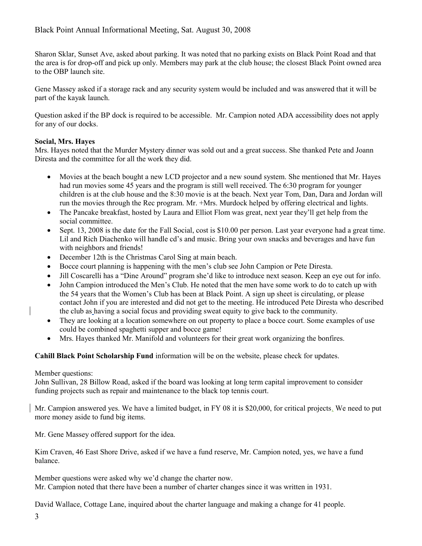Sharon Sklar, Sunset Ave, asked about parking. It was noted that no parking exists on Black Point Road and that the area is for drop-off and pick up only. Members may park at the club house; the closest Black Point owned area to the OBP launch site.

Gene Massey asked if a storage rack and any security system would be included and was answered that it will be part of the kayak launch.

Question asked if the BP dock is required to be accessible. Mr. Campion noted ADA accessibility does not apply for any of our docks.

# **Social, Mrs. Hayes**

Mrs. Hayes noted that the Murder Mystery dinner was sold out and a great success. She thanked Pete and Joann Diresta and the committee for all the work they did.

- Movies at the beach bought a new LCD projector and a new sound system. She mentioned that Mr. Hayes had run movies some 45 years and the program is still well received. The 6:30 program for younger children is at the club house and the 8:30 movie is at the beach. Next year Tom, Dan, Dara and Jordan will run the movies through the Rec program. Mr. +Mrs. Murdock helped by offering electrical and lights.
- The Pancake breakfast, hosted by Laura and Elliot Flom was great, next year they'll get help from the social committee.
- $\bullet$  Sept. 13, 2008 is the date for the Fall Social, cost is \$10.00 per person. Last year everyone had a great time. Lil and Rich Diachenko will handle cd's and music. Bring your own snacks and beverages and have fun with neighbors and friends!
- December 12th is the Christmas Carol Sing at main beach.
- Bocce court planning is happening with the men's club see John Campion or Pete Diresta.
- Jill Coscarelli has a "Dine Around" program she'd like to introduce next season. Keep an eye out for info.
- John Campion introduced the Men's Club. He noted that the men have some work to do to catch up with the 54 years that the Women's Club has been at Black Point. A sign up sheet is circulating, or please contact John if you are interested and did not get to the meeting. He introduced Pete Diresta who described the club as having a social focus and providing sweat equity to give back to the community.
- They are looking at a location somewhere on out property to place a bocce court. Some examples of use could be combined spaghetti supper and bocce game!
- Mrs. Hayes thanked Mr. Manifold and volunteers for their great work organizing the bonfires.

**Cahill Black Point Scholarship Fund** information will be on the website, please check for updates.

## Member questions:

John Sullivan, 28 Billow Road, asked if the board was looking at long term capital improvement to consider funding projects such as repair and maintenance to the black top tennis court.

Mr. Campion answered yes. We have a limited budget, in FY 08 it is \$20,000, for critical projects. We need to put more money aside to fund big items.

Mr. Gene Massey offered support for the idea.

Kim Craven, 46 East Shore Drive, asked if we have a fund reserve, Mr. Campion noted, yes, we have a fund balance.

Member questions were asked why we'd change the charter now. Mr. Campion noted that there have been a number of charter changes since it was written in 1931.

David Wallace, Cottage Lane, inquired about the charter language and making a change for 41 people.